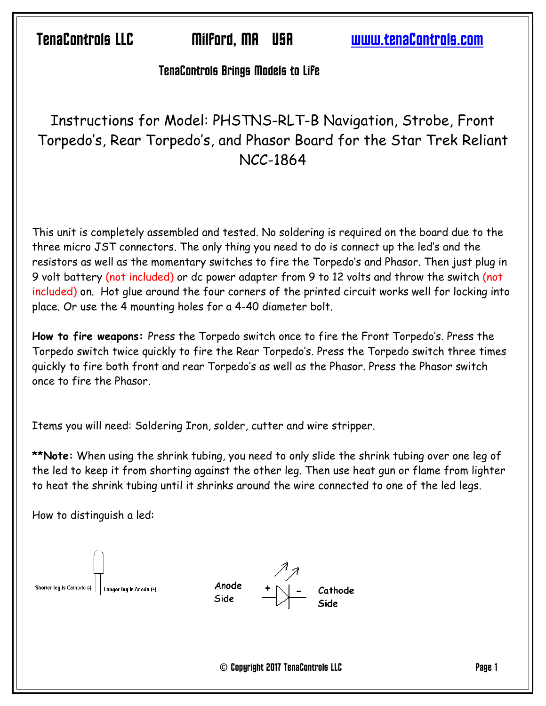Ten^Controls LLC Milford, M@ US@ www.ten^Controls.com

#### **TenaControls Brings Models to Life**

# Instructions for Model: PHSTNS-RLT-B Navigation, Strobe, Front Torpedo's, Rear Torpedo's, and Phasor Board for the Star Trek Reliant NCC-1864

This unit is completely assembled and tested. No soldering is required on the board due to the three micro JST connectors. The only thing you need to do is connect up the led's and the resistors as well as the momentary switches to fire the Torpedo's and Phasor. Then just plug in 9 volt battery (not included) or dc power adapter from 9 to 12 volts and throw the switch (not included) on. Hot glue around the four corners of the printed circuit works well for locking into place. Or use the 4 mounting holes for a 4-40 diameter bolt.

**How to fire weapons:** Press the Torpedo switch once to fire the Front Torpedo's. Press the Torpedo switch twice quickly to fire the Rear Torpedo's. Press the Torpedo switch three times quickly to fire both front and rear Torpedo's as well as the Phasor. Press the Phasor switch once to fire the Phasor.

Items you will need: Soldering Iron, solder, cutter and wire stripper.

**\*\*Note:** When using the shrink tubing, you need to only slide the shrink tubing over one leg of the led to keep it from shorting against the other leg. Then use heat gun or flame from lighter to heat the shrink tubing until it shrinks around the wire connected to one of the led legs.

How to distinguish a led:

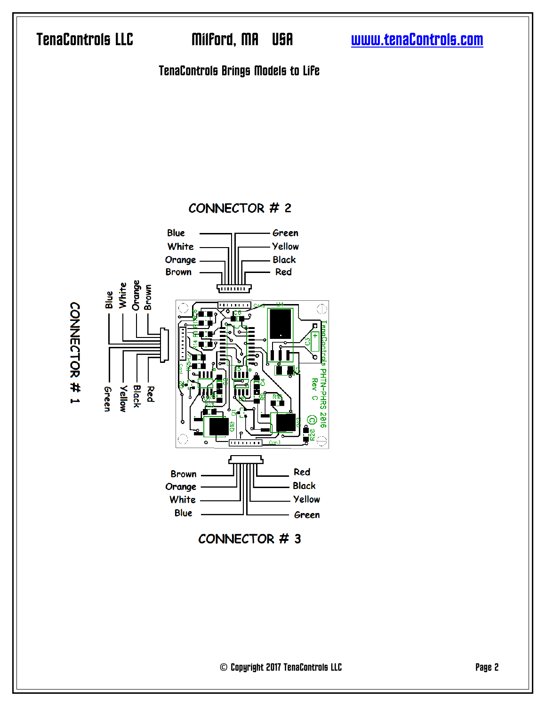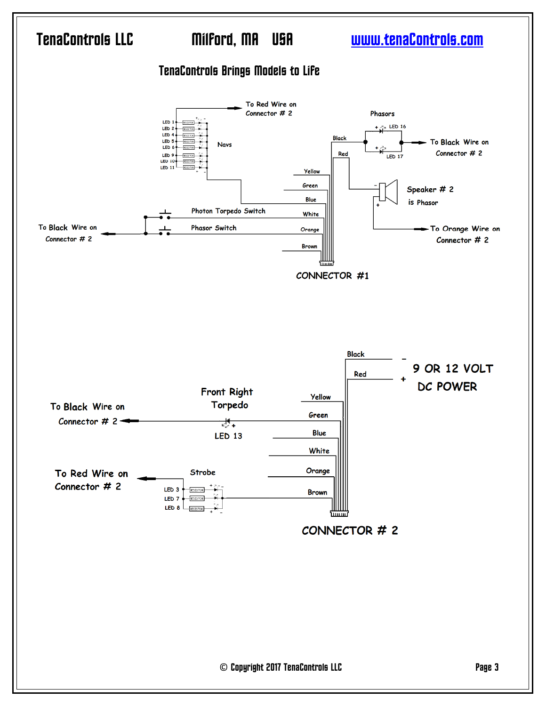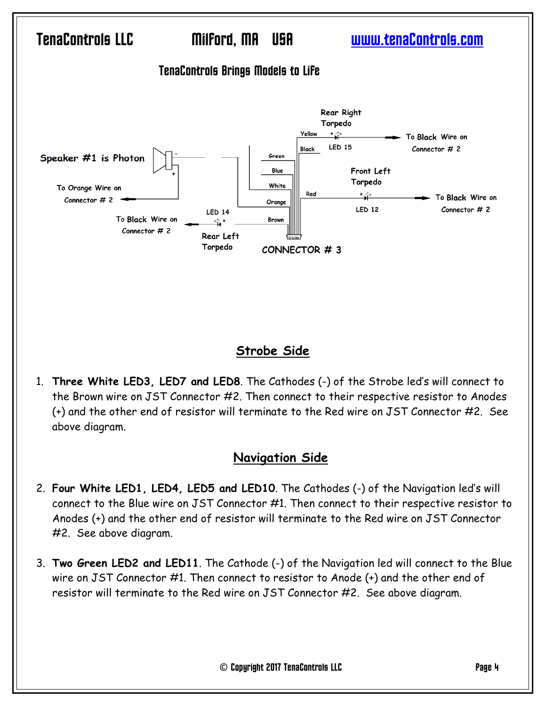

### **Strobe Side**

1. **Three White LED3, LED7 and LED8**. The Cathodes (-) of the Strobe led's will connect to the Brown wire on JST Connector #2. Then connect to their respective resistor to Anodes (+) and the other end of resistor will terminate to the Red wire on JST Connector #2. See above diagram.

### **Navigation Side**

- 2. **Four White LED1, LED4, LED5 and LED10**. The Cathodes (-) of the Navigation led's will connect to the Blue wire on JST Connector #1. Then connect to their respective resistor to Anodes (+) and the other end of resistor will terminate to the Red wire on JST Connector #2. See above diagram.
- 3. **Two Green LED2 and LED11**. The Cathode (-) of the Navigation led will connect to the Blue wire on JST Connector #1. Then connect to resistor to Anode (+) and the other end of resistor will terminate to the Red wire on JST Connector #2. See above diagram.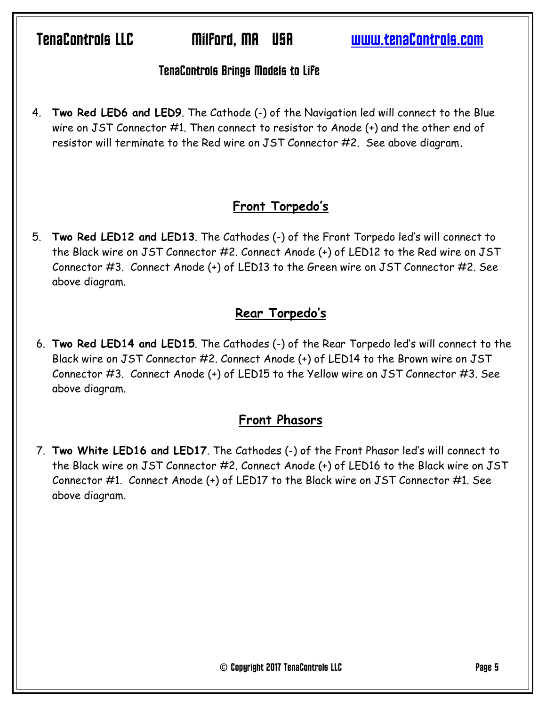Ten^Controls LLC Milford, M@ US@ www.ten^Controls.com

#### **TenaControls Brings Models to Life**

4. **Two Red LED6 and LED9**. The Cathode (-) of the Navigation led will connect to the Blue wire on JST Connector #1. Then connect to resistor to Anode (+) and the other end of resistor will terminate to the Red wire on JST Connector #2. See above diagram**.**

### **Front Torpedo's**

5. **Two Red LED12 and LED13**. The Cathodes (-) of the Front Torpedo led's will connect to the Black wire on JST Connector #2. Connect Anode (+) of LED12 to the Red wire on JST Connector #3. Connect Anode (+) of LED13 to the Green wire on JST Connector #2. See above diagram.

### **Rear Torpedo's**

6. **Two Red LED14 and LED15**. The Cathodes (-) of the Rear Torpedo led's will connect to the Black wire on JST Connector #2. Connect Anode (+) of LED14 to the Brown wire on JST Connector #3. Connect Anode (+) of LED15 to the Yellow wire on JST Connector #3. See above diagram.

### **Front Phasors**

7. **Two White LED16 and LED17**. The Cathodes (-) of the Front Phasor led's will connect to the Black wire on JST Connector #2. Connect Anode (+) of LED16 to the Black wire on JST Connector #1. Connect Anode (+) of LED17 to the Black wire on JST Connector #1. See above diagram.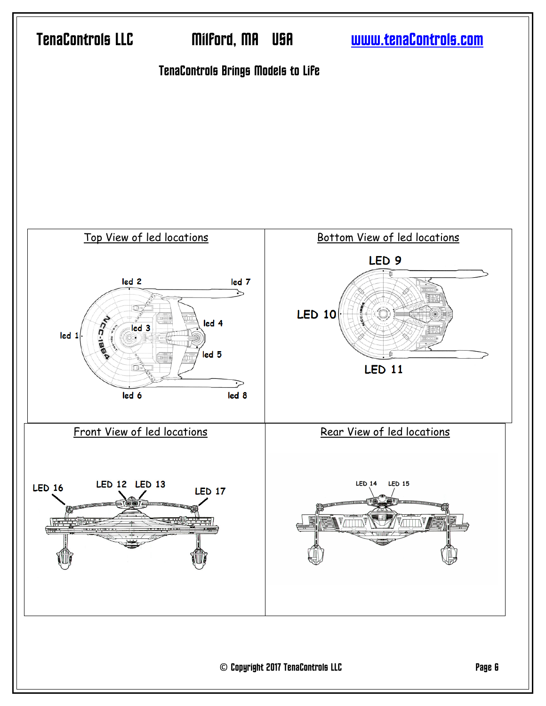